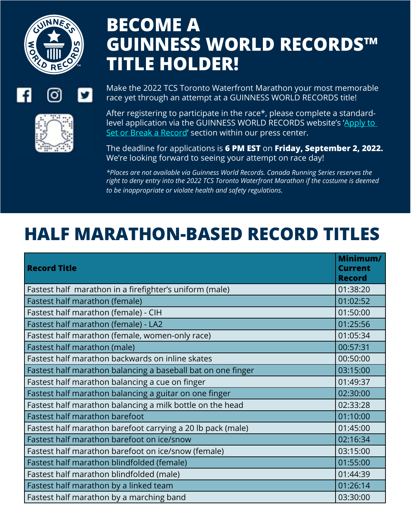



## **BECOME A GUINNESS WORLD RECORDS™ TITLE HOLDER!**

Make the 2022 TCS Toronto Waterfront Marathon your most memorable race yet through an attempt at a GUINNESS WORLD RECORDS title!

After registering to participate in the race\*, please complete a standardlevel application via the GUINNESS WORLD RECORDS website's ['Apply to](https://www.guinnessworldrecords.com/news/press/marathons)  [Set or Break a Record'](https://www.guinnessworldrecords.com/news/press/marathons) section within our press center.

The deadline for applications is **6 PM EST** on **Friday, September 2, 2022.** We're looking forward to seeing your attempt on race day!

*\*Places are not available via Guinness World Records. Canada Running Series reserves the right to deny entry into the 2022 TCS Toronto Waterfront Marathon if the costume is deemed to be inappropriate or violate health and safety regulations.*

## **HALF MARATHON-BASED RECORD TITLES**

| <b>Record Title</b>                                          | Minimum/<br><b>Current</b><br><b>Record</b> |
|--------------------------------------------------------------|---------------------------------------------|
| Fastest half marathon in a firefighter's uniform (male)      | 01:38:20                                    |
| Fastest half marathon (female)                               | 01:02:52                                    |
| Fastest half marathon (female) - CIH                         | 01:50:00                                    |
| Fastest half marathon (female) - LA2                         | 01:25:56                                    |
| Fastest half marathon (female, women-only race)              | 01:05:34                                    |
| Fastest half marathon (male)                                 | 00:57:31                                    |
| Fastest half marathon backwards on inline skates             | 00:50:00                                    |
| Fastest half marathon balancing a baseball bat on one finger | 03:15:00                                    |
| Fastest half marathon balancing a cue on finger              | 01:49:37                                    |
| Fastest half marathon balancing a guitar on one finger       | 02:30:00                                    |
| Fastest half marathon balancing a milk bottle on the head    | 02:33:28                                    |
| <b>Fastest half marathon barefoot</b>                        | 01:10:00                                    |
| Fastest half marathon barefoot carrying a 20 lb pack (male)  | 01:45:00                                    |
| Fastest half marathon barefoot on ice/snow                   | 02:16:34                                    |
| Fastest half marathon barefoot on ice/snow (female)          | 03:15:00                                    |
| Fastest half marathon blindfolded (female)                   | 01:55:00                                    |
| Fastest half marathon blindfolded (male)                     | 01:44:39                                    |
| Fastest half marathon by a linked team                       | 01:26:14                                    |
| Fastest half marathon by a marching band                     | 03:30:00                                    |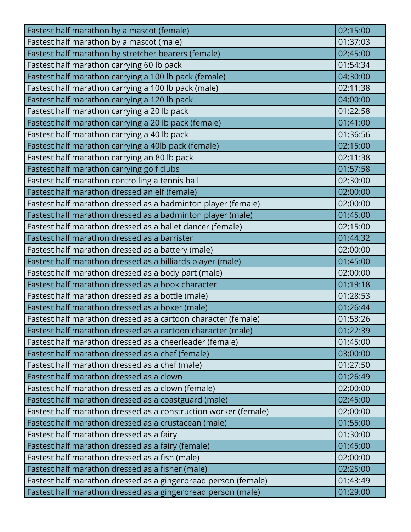| Fastest half marathon by a mascot (female)                      | 02:15:00 |
|-----------------------------------------------------------------|----------|
| Fastest half marathon by a mascot (male)                        | 01:37:03 |
| Fastest half marathon by stretcher bearers (female)             | 02:45:00 |
| Fastest half marathon carrying 60 lb pack                       | 01:54:34 |
| Fastest half marathon carrying a 100 lb pack (female)           | 04:30:00 |
| Fastest half marathon carrying a 100 lb pack (male)             | 02:11:38 |
| Fastest half marathon carrying a 120 lb pack                    | 04:00:00 |
| Fastest half marathon carrying a 20 lb pack                     | 01:22:58 |
| Fastest half marathon carrying a 20 lb pack (female)            | 01:41:00 |
| Fastest half marathon carrying a 40 lb pack                     | 01:36:56 |
| Fastest half marathon carrying a 40lb pack (female)             | 02:15:00 |
| Fastest half marathon carrying an 80 lb pack                    | 02:11:38 |
| Fastest half marathon carrying golf clubs                       | 01:57:58 |
| Fastest half marathon controlling a tennis ball                 | 02:30:00 |
| Fastest half marathon dressed an elf (female)                   | 02:00:00 |
| Fastest half marathon dressed as a badminton player (female)    | 02:00:00 |
| Fastest half marathon dressed as a badminton player (male)      | 01:45:00 |
| Fastest half marathon dressed as a ballet dancer (female)       | 02:15:00 |
| Fastest half marathon dressed as a barrister                    | 01:44:32 |
| Fastest half marathon dressed as a battery (male)               | 02:00:00 |
| Fastest half marathon dressed as a billiards player (male)      | 01:45:00 |
| Fastest half marathon dressed as a body part (male)             | 02:00:00 |
| Fastest half marathon dressed as a book character               | 01:19:18 |
| Fastest half marathon dressed as a bottle (male)                | 01:28:53 |
| Fastest half marathon dressed as a boxer (male)                 | 01:26:44 |
| Fastest half marathon dressed as a cartoon character (female)   | 01:53:26 |
| Fastest half marathon dressed as a cartoon character (male)     | 01:22:39 |
| Fastest half marathon dressed as a cheerleader (female)         | 01:45:00 |
| Fastest half marathon dressed as a chef (female)                | 03:00:00 |
| Fastest half marathon dressed as a chef (male)                  | 01:27:50 |
| Fastest half marathon dressed as a clown                        | 01:26:49 |
| Fastest half marathon dressed as a clown (female)               | 02:00:00 |
| Fastest half marathon dressed as a coastguard (male)            | 02:45:00 |
| Fastest half marathon dressed as a construction worker (female) | 02:00:00 |
| Fastest half marathon dressed as a crustacean (male)            | 01:55:00 |
| Fastest half marathon dressed as a fairy                        | 01:30:00 |
| Fastest half marathon dressed as a fairy (female)               | 01:45:00 |
| Fastest half marathon dressed as a fish (male)                  | 02:00:00 |
| Fastest half marathon dressed as a fisher (male)                | 02:25:00 |
| Fastest half marathon dressed as a gingerbread person (female)  | 01:43:49 |
| Fastest half marathon dressed as a gingerbread person (male)    | 01:29:00 |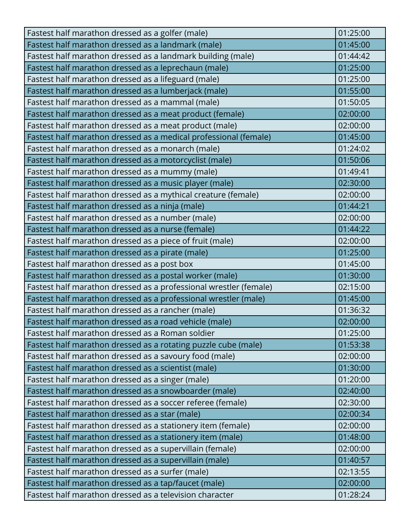| Fastest half marathon dressed as a golfer (male)                  | 01:25:00 |
|-------------------------------------------------------------------|----------|
| Fastest half marathon dressed as a landmark (male)                | 01:45:00 |
| Fastest half marathon dressed as a landmark building (male)       | 01:44:42 |
| Fastest half marathon dressed as a leprechaun (male)              | 01:25:00 |
| Fastest half marathon dressed as a lifeguard (male)               | 01:25:00 |
| Fastest half marathon dressed as a lumberjack (male)              | 01:55:00 |
| Fastest half marathon dressed as a mammal (male)                  | 01:50:05 |
| Fastest half marathon dressed as a meat product (female)          | 02:00:00 |
| Fastest half marathon dressed as a meat product (male)            | 02:00:00 |
| Fastest half marathon dressed as a medical professional (female)  | 01:45:00 |
| Fastest half marathon dressed as a monarch (male)                 | 01:24:02 |
| Fastest half marathon dressed as a motorcyclist (male)            | 01:50:06 |
| Fastest half marathon dressed as a mummy (male)                   | 01:49:41 |
| Fastest half marathon dressed as a music player (male)            | 02:30:00 |
| Fastest half marathon dressed as a mythical creature (female)     | 02:00:00 |
| Fastest half marathon dressed as a ninja (male)                   | 01:44:21 |
| Fastest half marathon dressed as a number (male)                  | 02:00:00 |
| Fastest half marathon dressed as a nurse (female)                 | 01:44:22 |
| Fastest half marathon dressed as a piece of fruit (male)          | 02:00:00 |
| Fastest half marathon dressed as a pirate (male)                  | 01:25:00 |
| Fastest half marathon dressed as a post box                       | 01:45:00 |
| Fastest half marathon dressed as a postal worker (male)           | 01:30:00 |
| Fastest half marathon dressed as a professional wrestler (female) | 02:15:00 |
| Fastest half marathon dressed as a professional wrestler (male)   | 01:45:00 |
| Fastest half marathon dressed as a rancher (male)                 | 01:36:32 |
| Fastest half marathon dressed as a road vehicle (male)            | 02:00:00 |
| Fastest half marathon dressed as a Roman soldier                  | 01:25:00 |
| Fastest half marathon dressed as a rotating puzzle cube (male)    | 01:53:38 |
| Fastest half marathon dressed as a savoury food (male)            | 02:00:00 |
| Fastest half marathon dressed as a scientist (male)               | 01:30:00 |
| Fastest half marathon dressed as a singer (male)                  | 01:20:00 |
| Fastest half marathon dressed as a snowboarder (male)             | 02:40:00 |
| Fastest half marathon dressed as a soccer referee (female)        | 02:30:00 |
| Fastest half marathon dressed as a star (male)                    | 02:00:34 |
| Fastest half marathon dressed as a stationery item (female)       | 02:00:00 |
| Fastest half marathon dressed as a stationery item (male)         | 01:48:00 |
| Fastest half marathon dressed as a supervillain (female)          | 02:00:00 |
| Fastest half marathon dressed as a supervillain (male)            | 01:40:57 |
| Fastest half marathon dressed as a surfer (male)                  | 02:13:55 |
| Fastest half marathon dressed as a tap/faucet (male)              | 02:00:00 |
| Fastest half marathon dressed as a television character           | 01:28:24 |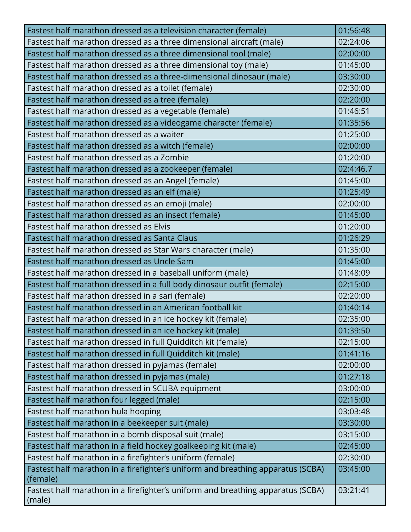| Fastest half marathon dressed as a television character (female)                          | 01:56:48  |
|-------------------------------------------------------------------------------------------|-----------|
| Fastest half marathon dressed as a three dimensional aircraft (male)                      | 02:24:06  |
| Fastest half marathon dressed as a three dimensional tool (male)                          | 02:00:00  |
| Fastest half marathon dressed as a three dimensional toy (male)                           | 01:45:00  |
| Fastest half marathon dressed as a three-dimensional dinosaur (male)                      | 03:30:00  |
| Fastest half marathon dressed as a toilet (female)                                        | 02:30:00  |
| Fastest half marathon dressed as a tree (female)                                          | 02:20:00  |
| Fastest half marathon dressed as a vegetable (female)                                     | 01:46:51  |
| Fastest half marathon dressed as a videogame character (female)                           | 01:35:56  |
| Fastest half marathon dressed as a waiter                                                 | 01:25:00  |
| Fastest half marathon dressed as a witch (female)                                         | 02:00:00  |
| Fastest half marathon dressed as a Zombie                                                 | 01:20:00  |
| Fastest half marathon dressed as a zookeeper (female)                                     | 02:4:46.7 |
| Fastest half marathon dressed as an Angel (female)                                        | 01:45:00  |
| Fastest half marathon dressed as an elf (male)                                            | 01:25:49  |
| Fastest half marathon dressed as an emoji (male)                                          | 02:00:00  |
| Fastest half marathon dressed as an insect (female)                                       | 01:45:00  |
| Fastest half marathon dressed as Elvis                                                    | 01:20:00  |
| Fastest half marathon dressed as Santa Claus                                              | 01:26:29  |
| Fastest half marathon dressed as Star Wars character (male)                               | 01:35:00  |
| Fastest half marathon dressed as Uncle Sam                                                | 01:45:00  |
| Fastest half marathon dressed in a baseball uniform (male)                                | 01:48:09  |
| Fastest half marathon dressed in a full body dinosaur outfit (female)                     | 02:15:00  |
| Fastest half marathon dressed in a sari (female)                                          | 02:20:00  |
| Fastest half marathon dressed in an American football kit                                 | 01:40:14  |
| Fastest half marathon dressed in an ice hockey kit (female)                               | 02:35:00  |
| Fastest half marathon dressed in an ice hockey kit (male)                                 | 01:39:50  |
| Fastest half marathon dressed in full Quidditch kit (female)                              | 02:15:00  |
| Fastest half marathon dressed in full Quidditch kit (male)                                | 01:41:16  |
| Fastest half marathon dressed in pyjamas (female)                                         | 02:00:00  |
| Fastest half marathon dressed in pyjamas (male)                                           | 01:27:18  |
| Fastest half marathon dressed in SCUBA equipment                                          | 03:00:00  |
| Fastest half marathon four legged (male)                                                  | 02:15:00  |
| Fastest half marathon hula hooping                                                        | 03:03:48  |
| Fastest half marathon in a beekeeper suit (male)                                          | 03:30:00  |
| Fastest half marathon in a bomb disposal suit (male)                                      | 03:15:00  |
| Fastest half marathon in a field hockey goalkeeping kit (male)                            | 02:45:00  |
| Fastest half marathon in a firefighter's uniform (female)                                 | 02:30:00  |
| Fastest half marathon in a firefighter's uniform and breathing apparatus (SCBA)           | 03:45:00  |
| (female)                                                                                  |           |
| Fastest half marathon in a firefighter's uniform and breathing apparatus (SCBA)<br>(male) | 03:21:41  |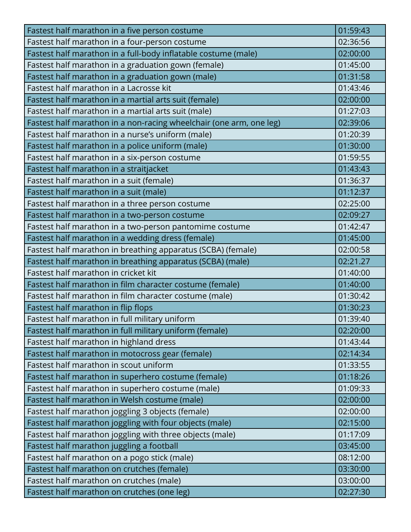| Fastest half marathon in a five person costume                      | 01:59:43 |
|---------------------------------------------------------------------|----------|
| Fastest half marathon in a four-person costume                      | 02:36:56 |
| Fastest half marathon in a full-body inflatable costume (male)      | 02:00:00 |
| Fastest half marathon in a graduation gown (female)                 | 01:45:00 |
| Fastest half marathon in a graduation gown (male)                   | 01:31:58 |
| Fastest half marathon in a Lacrosse kit                             | 01:43:46 |
| Fastest half marathon in a martial arts suit (female)               | 02:00:00 |
| Fastest half marathon in a martial arts suit (male)                 | 01:27:03 |
| Fastest half marathon in a non-racing wheelchair (one arm, one leg) | 02:39:06 |
| Fastest half marathon in a nurse's uniform (male)                   | 01:20:39 |
| Fastest half marathon in a police uniform (male)                    | 01:30:00 |
| Fastest half marathon in a six-person costume                       | 01:59:55 |
| Fastest half marathon in a straitjacket                             | 01:43:43 |
| Fastest half marathon in a suit (female)                            | 01:36:37 |
| Fastest half marathon in a suit (male)                              | 01:12:37 |
| Fastest half marathon in a three person costume                     | 02:25:00 |
| Fastest half marathon in a two-person costume                       | 02:09:27 |
| Fastest half marathon in a two-person pantomime costume             | 01:42:47 |
| Fastest half marathon in a wedding dress (female)                   | 01:45:00 |
| Fastest half marathon in breathing apparatus (SCBA) (female)        | 02:00:58 |
| Fastest half marathon in breathing apparatus (SCBA) (male)          | 02:21.27 |
| Fastest half marathon in cricket kit                                | 01:40:00 |
| Fastest half marathon in film character costume (female)            | 01:40:00 |
| Fastest half marathon in film character costume (male)              | 01:30:42 |
| Fastest half marathon in flip flops                                 | 01:30:23 |
| Fastest half marathon in full military uniform                      | 01:39:40 |
| Fastest half marathon in full military uniform (female)             | 02:20:00 |
| Fastest half marathon in highland dress                             | 01:43:44 |
| Fastest half marathon in motocross gear (female)                    | 02:14:34 |
| Fastest half marathon in scout uniform                              | 01:33:55 |
| Fastest half marathon in superhero costume (female)                 | 01:18:26 |
| Fastest half marathon in superhero costume (male)                   | 01:09:33 |
| Fastest half marathon in Welsh costume (male)                       | 02:00:00 |
| Fastest half marathon joggling 3 objects (female)                   | 02:00:00 |
| Fastest half marathon joggling with four objects (male)             | 02:15:00 |
| Fastest half marathon joggling with three objects (male)            | 01:17:09 |
| Fastest half marathon juggling a football                           | 03:45:00 |
| Fastest half marathon on a pogo stick (male)                        | 08:12:00 |
| Fastest half marathon on crutches (female)                          | 03:30:00 |
| Fastest half marathon on crutches (male)                            | 03:00:00 |
| Fastest half marathon on crutches (one leg)                         | 02:27:30 |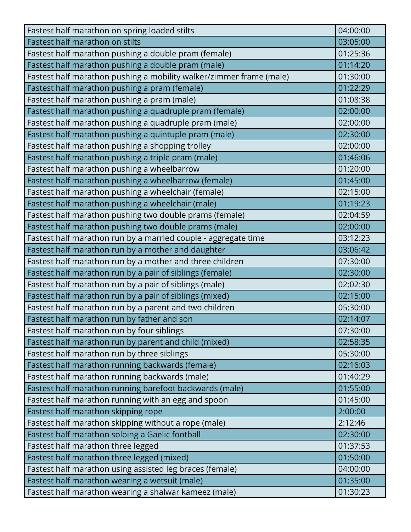| Fastest half marathon on spring loaded stilts                       | 04:00:00 |
|---------------------------------------------------------------------|----------|
| Fastest half marathon on stilts                                     | 03:05:00 |
| Fastest half marathon pushing a double pram (female)                | 01:25:36 |
| Fastest half marathon pushing a double pram (male)                  | 01:14:20 |
| Fastest half marathon pushing a mobility walker/zimmer frame (male) | 01:30:00 |
| Fastest half marathon pushing a pram (female)                       | 01:22:29 |
| Fastest half marathon pushing a pram (male)                         | 01:08:38 |
| Fastest half marathon pushing a quadruple pram (female)             | 02:00:00 |
| Fastest half marathon pushing a quadruple pram (male)               | 02:00:00 |
| Fastest half marathon pushing a quintuple pram (male)               | 02:30:00 |
| Fastest half marathon pushing a shopping trolley                    | 02:00:00 |
| Fastest half marathon pushing a triple pram (male)                  | 01:46:06 |
| Fastest half marathon pushing a wheelbarrow                         | 01:20:00 |
| Fastest half marathon pushing a wheelbarrow (female)                | 01:45:00 |
| Fastest half marathon pushing a wheelchair (female)                 | 02:15:00 |
| Fastest half marathon pushing a wheelchair (male)                   | 01:19:23 |
| Fastest half marathon pushing two double prams (female)             | 02:04:59 |
| Fastest half marathon pushing two double prams (male)               | 02:00:00 |
| Fastest half marathon run by a married couple - aggregate time      | 03:12:23 |
| Fastest half marathon run by a mother and daughter                  | 03:06:42 |
| Fastest half marathon run by a mother and three children            | 07:30:00 |
| Fastest half marathon run by a pair of siblings (female)            | 02:30:00 |
| Fastest half marathon run by a pair of siblings (male)              | 02:02:30 |
| Fastest half marathon run by a pair of siblings (mixed)             | 02:15:00 |
| Fastest half marathon run by a parent and two children              | 05:30:00 |
| Fastest half marathon run by father and son                         | 02:14:07 |
| Fastest half marathon run by four siblings                          | 07:30:00 |
| Fastest half marathon run by parent and child (mixed)               | 02:58:35 |
| Fastest half marathon run by three siblings                         | 05:30:00 |
| Fastest half marathon running backwards (female)                    | 02:16:03 |
| Fastest half marathon running backwards (male)                      | 01:40:29 |
| Fastest half marathon running barefoot backwards (male)             | 01:55:00 |
| Fastest half marathon running with an egg and spoon                 | 01:45:00 |
| Fastest half marathon skipping rope                                 | 2:00:00  |
| Fastest half marathon skipping without a rope (male)                | 2:12:46  |
| Fastest half marathon soloing a Gaelic football                     | 02:30:00 |
| Fastest half marathon three legged                                  | 01:37:53 |
| Fastest half marathon three legged (mixed)                          | 01:50:00 |
| Fastest half marathon using assisted leg braces (female)            | 04:00:00 |
| Fastest half marathon wearing a wetsuit (male)                      | 01:35:00 |
| Fastest half marathon wearing a shalwar kameez (male)               | 01:30:23 |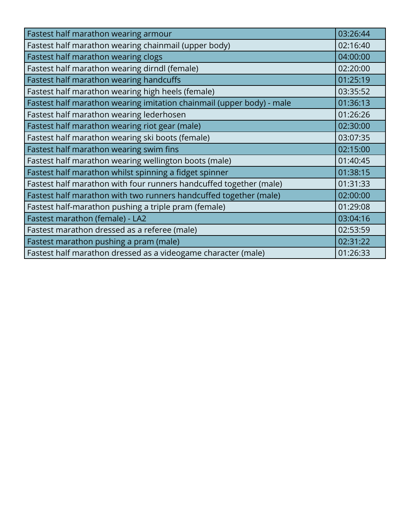| Fastest half marathon wearing armour                                  | 03:26:44 |
|-----------------------------------------------------------------------|----------|
| Fastest half marathon wearing chainmail (upper body)                  | 02:16:40 |
| Fastest half marathon wearing clogs                                   | 04:00:00 |
| Fastest half marathon wearing dirndl (female)                         | 02:20:00 |
| Fastest half marathon wearing handcuffs                               | 01:25:19 |
| Fastest half marathon wearing high heels (female)                     | 03:35:52 |
| Fastest half marathon wearing imitation chainmail (upper body) - male | 01:36:13 |
| Fastest half marathon wearing lederhosen                              | 01:26:26 |
| Fastest half marathon wearing riot gear (male)                        | 02:30:00 |
| Fastest half marathon wearing ski boots (female)                      | 03:07:35 |
| Fastest half marathon wearing swim fins                               | 02:15:00 |
| Fastest half marathon wearing wellington boots (male)                 | 01:40:45 |
| Fastest half marathon whilst spinning a fidget spinner                | 01:38:15 |
| Fastest half marathon with four runners handcuffed together (male)    | 01:31:33 |
| Fastest half marathon with two runners handcuffed together (male)     | 02:00:00 |
| Fastest half-marathon pushing a triple pram (female)                  | 01:29:08 |
| Fastest marathon (female) - LA2                                       | 03:04:16 |
| Fastest marathon dressed as a referee (male)                          | 02:53:59 |
| Fastest marathon pushing a pram (male)                                | 02:31:22 |
| Fastest half marathon dressed as a videogame character (male)         | 01:26:33 |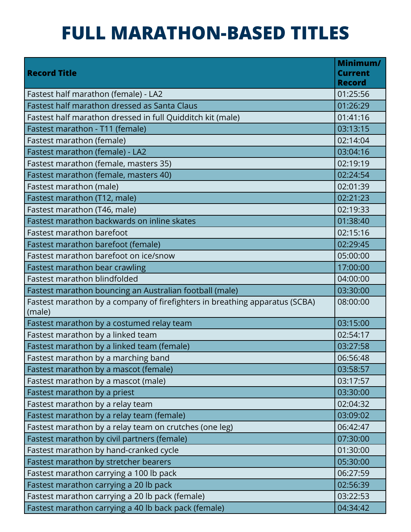## **FULL MARATHON-BASED TITLES**

| <b>Record Title</b>                                                                   | Minimum/<br><b>Current</b><br><b>Record</b> |
|---------------------------------------------------------------------------------------|---------------------------------------------|
| Fastest half marathon (female) - LA2                                                  | 01:25:56                                    |
| Fastest half marathon dressed as Santa Claus                                          | 01:26:29                                    |
| Fastest half marathon dressed in full Quidditch kit (male)                            | 01:41:16                                    |
| Fastest marathon - T11 (female)                                                       | 03:13:15                                    |
| Fastest marathon (female)                                                             | 02:14:04                                    |
| Fastest marathon (female) - LA2                                                       | 03:04:16                                    |
| Fastest marathon (female, masters 35)                                                 | 02:19:19                                    |
| Fastest marathon (female, masters 40)                                                 | 02:24:54                                    |
| Fastest marathon (male)                                                               | 02:01:39                                    |
| Fastest marathon (T12, male)                                                          | 02:21:23                                    |
| Fastest marathon (T46, male)                                                          | 02:19:33                                    |
| Fastest marathon backwards on inline skates                                           | 01:38:40                                    |
| Fastest marathon barefoot                                                             | 02:15:16                                    |
| Fastest marathon barefoot (female)                                                    | 02:29:45                                    |
| Fastest marathon barefoot on ice/snow                                                 | 05:00:00                                    |
| Fastest marathon bear crawling                                                        | 17:00:00                                    |
| Fastest marathon blindfolded                                                          | 04:00:00                                    |
| Fastest marathon bouncing an Australian football (male)                               | 03:30:00                                    |
| Fastest marathon by a company of firefighters in breathing apparatus (SCBA)<br>(male) | 08:00:00                                    |
| Fastest marathon by a costumed relay team                                             | 03:15:00                                    |
| Fastest marathon by a linked team                                                     | 02:54:17                                    |
| Fastest marathon by a linked team (female)                                            | 03:27:58                                    |
| Fastest marathon by a marching band                                                   | 06:56:48                                    |
| Fastest marathon by a mascot (female)                                                 | 03:58:57                                    |
| Fastest marathon by a mascot (male)                                                   | 03:17:57                                    |
| Fastest marathon by a priest                                                          | 03:30:00                                    |
| Fastest marathon by a relay team                                                      | 02:04:32                                    |
| Fastest marathon by a relay team (female)                                             | 03:09:02                                    |
| Fastest marathon by a relay team on crutches (one leg)                                | 06:42:47                                    |
| Fastest marathon by civil partners (female)                                           | 07:30:00                                    |
| Fastest marathon by hand-cranked cycle                                                | 01:30:00                                    |
| Fastest marathon by stretcher bearers                                                 | 05:30:00                                    |
| Fastest marathon carrying a 100 lb pack                                               | 06:27:59                                    |
| Fastest marathon carrying a 20 lb pack                                                | 02:56:39                                    |
| Fastest marathon carrying a 20 lb pack (female)                                       | 03:22:53                                    |
| Fastest marathon carrying a 40 lb back pack (female)                                  | 04:34:42                                    |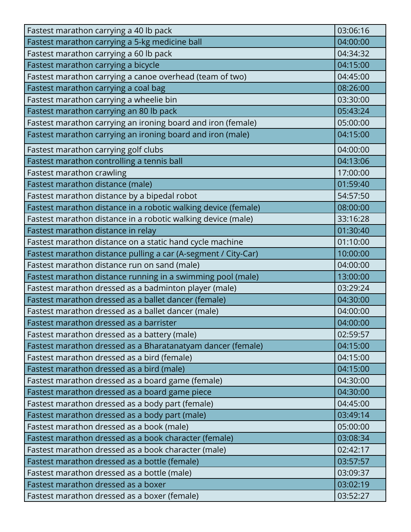| Fastest marathon carrying a 40 lb pack                         | 03:06:16 |
|----------------------------------------------------------------|----------|
| Fastest marathon carrying a 5-kg medicine ball                 | 04:00:00 |
| Fastest marathon carrying a 60 lb pack                         | 04:34:32 |
| Fastest marathon carrying a bicycle                            | 04:15:00 |
| Fastest marathon carrying a canoe overhead (team of two)       | 04:45:00 |
| Fastest marathon carrying a coal bag                           | 08:26:00 |
| Fastest marathon carrying a wheelie bin                        | 03:30:00 |
| Fastest marathon carrying an 80 lb pack                        | 05:43:24 |
| Fastest marathon carrying an ironing board and iron (female)   | 05:00:00 |
| Fastest marathon carrying an ironing board and iron (male)     | 04:15:00 |
| Fastest marathon carrying golf clubs                           | 04:00:00 |
| Fastest marathon controlling a tennis ball                     | 04:13:06 |
| Fastest marathon crawling                                      | 17:00:00 |
| Fastest marathon distance (male)                               | 01:59:40 |
| Fastest marathon distance by a bipedal robot                   | 54:57:50 |
| Fastest marathon distance in a robotic walking device (female) | 08:00:00 |
| Fastest marathon distance in a robotic walking device (male)   | 33:16:28 |
| Fastest marathon distance in relay                             | 01:30:40 |
| Fastest marathon distance on a static hand cycle machine       | 01:10:00 |
| Fastest marathon distance pulling a car (A-segment / City-Car) | 10:00:00 |
| Fastest marathon distance run on sand (male)                   | 04:00:00 |
| Fastest marathon distance running in a swimming pool (male)    | 13:00:00 |
| Fastest marathon dressed as a badminton player (male)          | 03:29:24 |
| Fastest marathon dressed as a ballet dancer (female)           | 04:30:00 |
| Fastest marathon dressed as a ballet dancer (male)             | 04:00:00 |
| Fastest marathon dressed as a barrister                        | 04:00:00 |
| Fastest marathon dressed as a battery (male)                   | 02:59:57 |
| Fastest marathon dressed as a Bharatanatyam dancer (female)    | 04:15:00 |
| Fastest marathon dressed as a bird (female)                    | 04:15:00 |
| Fastest marathon dressed as a bird (male)                      | 04:15:00 |
| Fastest marathon dressed as a board game (female)              | 04:30:00 |
| Fastest marathon dressed as a board game piece                 | 04:30:00 |
| Fastest marathon dressed as a body part (female)               | 04:45:00 |
| Fastest marathon dressed as a body part (male)                 | 03:49:14 |
| Fastest marathon dressed as a book (male)                      | 05:00:00 |
| Fastest marathon dressed as a book character (female)          | 03:08:34 |
| Fastest marathon dressed as a book character (male)            | 02:42:17 |
| Fastest marathon dressed as a bottle (female)                  | 03:57:57 |
| Fastest marathon dressed as a bottle (male)                    | 03:09:37 |
| Fastest marathon dressed as a boxer                            | 03:02:19 |
| Fastest marathon dressed as a boxer (female)                   | 03:52:27 |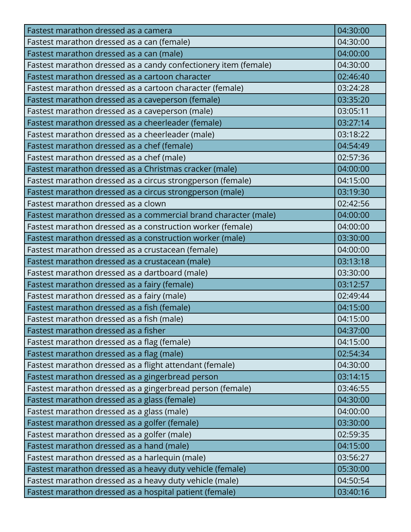| Fastest marathon dressed as a camera                            | 04:30:00 |
|-----------------------------------------------------------------|----------|
| Fastest marathon dressed as a can (female)                      | 04:30:00 |
| Fastest marathon dressed as a can (male)                        | 04:00:00 |
| Fastest marathon dressed as a candy confectionery item (female) | 04:30:00 |
| Fastest marathon dressed as a cartoon character                 | 02:46:40 |
| Fastest marathon dressed as a cartoon character (female)        | 03:24:28 |
| Fastest marathon dressed as a caveperson (female)               | 03:35:20 |
| Fastest marathon dressed as a caveperson (male)                 | 03:05:11 |
| Fastest marathon dressed as a cheerleader (female)              | 03:27:14 |
| Fastest marathon dressed as a cheerleader (male)                | 03:18:22 |
| Fastest marathon dressed as a chef (female)                     | 04:54:49 |
| Fastest marathon dressed as a chef (male)                       | 02:57:36 |
| Fastest marathon dressed as a Christmas cracker (male)          | 04:00:00 |
| Fastest marathon dressed as a circus strongperson (female)      | 04:15:00 |
| Fastest marathon dressed as a circus strongperson (male)        | 03:19:30 |
| Fastest marathon dressed as a clown                             | 02:42:56 |
| Fastest marathon dressed as a commercial brand character (male) | 04:00:00 |
| Fastest marathon dressed as a construction worker (female)      | 04:00:00 |
| Fastest marathon dressed as a construction worker (male)        | 03:30:00 |
| Fastest marathon dressed as a crustacean (female)               | 04:00:00 |
| Fastest marathon dressed as a crustacean (male)                 | 03:13:18 |
| Fastest marathon dressed as a dartboard (male)                  | 03:30:00 |
| Fastest marathon dressed as a fairy (female)                    | 03:12:57 |
| Fastest marathon dressed as a fairy (male)                      | 02:49:44 |
| Fastest marathon dressed as a fish (female)                     | 04:15:00 |
| Fastest marathon dressed as a fish (male)                       | 04:15:00 |
| Fastest marathon dressed as a fisher                            | 04:37:00 |
| Fastest marathon dressed as a flag (female)                     | 04:15:00 |
| Fastest marathon dressed as a flag (male)                       | 02:54:34 |
| Fastest marathon dressed as a flight attendant (female)         | 04:30:00 |
| Fastest marathon dressed as a gingerbread person                | 03:14:15 |
| Fastest marathon dressed as a gingerbread person (female)       | 03:46:55 |
| Fastest marathon dressed as a glass (female)                    | 04:30:00 |
| Fastest marathon dressed as a glass (male)                      | 04:00:00 |
| Fastest marathon dressed as a golfer (female)                   | 03:30:00 |
| Fastest marathon dressed as a golfer (male)                     | 02:59:35 |
| Fastest marathon dressed as a hand (male)                       | 04:15:00 |
| Fastest marathon dressed as a harlequin (male)                  | 03:56:27 |
| Fastest marathon dressed as a heavy duty vehicle (female)       | 05:30:00 |
| Fastest marathon dressed as a heavy duty vehicle (male)         | 04:50:54 |
| Fastest marathon dressed as a hospital patient (female)         | 03:40:16 |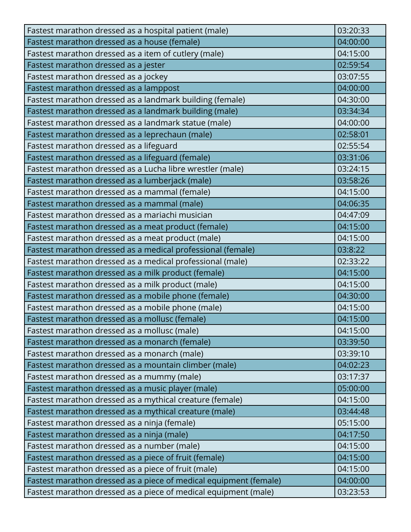| Fastest marathon dressed as a hospital patient (male)                                                         | 03:20:33 |
|---------------------------------------------------------------------------------------------------------------|----------|
| Fastest marathon dressed as a house (female)                                                                  | 04:00:00 |
| Fastest marathon dressed as a item of cutlery (male)                                                          | 04:15:00 |
| Fastest marathon dressed as a jester                                                                          | 02:59:54 |
| Fastest marathon dressed as a jockey                                                                          | 03:07:55 |
|                                                                                                               | 04:00:00 |
| Fastest marathon dressed as a lamppost<br>Fastest marathon dressed as a landmark building (female)            | 04:30:00 |
| Fastest marathon dressed as a landmark building (male)                                                        | 03:34:34 |
| Fastest marathon dressed as a landmark statue (male)                                                          | 04:00:00 |
| Fastest marathon dressed as a leprechaun (male)                                                               | 02:58:01 |
| Fastest marathon dressed as a lifeguard                                                                       | 02:55:54 |
|                                                                                                               | 03:31:06 |
| Fastest marathon dressed as a lifeguard (female)<br>Fastest marathon dressed as a Lucha libre wrestler (male) | 03:24:15 |
| Fastest marathon dressed as a lumberjack (male)                                                               | 03:58:26 |
| Fastest marathon dressed as a mammal (female)                                                                 | 04:15:00 |
| Fastest marathon dressed as a mammal (male)                                                                   | 04:06:35 |
| Fastest marathon dressed as a mariachi musician                                                               | 04:47:09 |
| Fastest marathon dressed as a meat product (female)                                                           | 04:15:00 |
| Fastest marathon dressed as a meat product (male)                                                             | 04:15:00 |
| Fastest marathon dressed as a medical professional (female)                                                   | 03:8:22  |
| Fastest marathon dressed as a medical professional (male)                                                     | 02:33:22 |
| Fastest marathon dressed as a milk product (female)                                                           | 04:15:00 |
| Fastest marathon dressed as a milk product (male)                                                             | 04:15:00 |
| Fastest marathon dressed as a mobile phone (female)                                                           | 04:30:00 |
| Fastest marathon dressed as a mobile phone (male)                                                             | 04:15:00 |
| Fastest marathon dressed as a mollusc (female)                                                                | 04:15:00 |
| Fastest marathon dressed as a mollusc (male)                                                                  | 04:15:00 |
| Fastest marathon dressed as a monarch (female)                                                                | 03:39:50 |
| Fastest marathon dressed as a monarch (male)                                                                  | 03:39:10 |
| Fastest marathon dressed as a mountain climber (male)                                                         | 04:02:23 |
| Fastest marathon dressed as a mummy (male)                                                                    | 03:17:37 |
| Fastest marathon dressed as a music player (male)                                                             | 05:00:00 |
| Fastest marathon dressed as a mythical creature (female)                                                      | 04:15:00 |
| Fastest marathon dressed as a mythical creature (male)                                                        | 03:44:48 |
| Fastest marathon dressed as a ninja (female)                                                                  | 05:15:00 |
| Fastest marathon dressed as a ninja (male)                                                                    | 04:17:50 |
| Fastest marathon dressed as a number (male)                                                                   | 04:15:00 |
| Fastest marathon dressed as a piece of fruit (female)                                                         | 04:15:00 |
| Fastest marathon dressed as a piece of fruit (male)                                                           | 04:15:00 |
| Fastest marathon dressed as a piece of medical equipment (female)                                             | 04:00:00 |
| Fastest marathon dressed as a piece of medical equipment (male)                                               | 03:23:53 |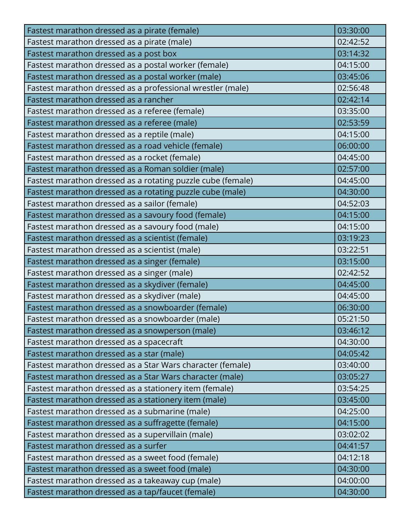| Fastest marathon dressed as a pirate (female)               | 03:30:00 |
|-------------------------------------------------------------|----------|
| Fastest marathon dressed as a pirate (male)                 | 02:42:52 |
| Fastest marathon dressed as a post box                      | 03:14:32 |
| Fastest marathon dressed as a postal worker (female)        | 04:15:00 |
| Fastest marathon dressed as a postal worker (male)          | 03:45:06 |
| Fastest marathon dressed as a professional wrestler (male)  | 02:56:48 |
| Fastest marathon dressed as a rancher                       | 02:42:14 |
| Fastest marathon dressed as a referee (female)              | 03:35:00 |
| Fastest marathon dressed as a referee (male)                | 02:53:59 |
| Fastest marathon dressed as a reptile (male)                | 04:15:00 |
| Fastest marathon dressed as a road vehicle (female)         | 06:00:00 |
| Fastest marathon dressed as a rocket (female)               | 04:45:00 |
| Fastest marathon dressed as a Roman soldier (male)          | 02:57:00 |
| Fastest marathon dressed as a rotating puzzle cube (female) | 04:45:00 |
| Fastest marathon dressed as a rotating puzzle cube (male)   | 04:30:00 |
| Fastest marathon dressed as a sailor (female)               | 04:52:03 |
| Fastest marathon dressed as a savoury food (female)         | 04:15:00 |
| Fastest marathon dressed as a savoury food (male)           | 04:15:00 |
| Fastest marathon dressed as a scientist (female)            | 03:19:23 |
| Fastest marathon dressed as a scientist (male)              | 03:22:51 |
| Fastest marathon dressed as a singer (female)               | 03:15:00 |
| Fastest marathon dressed as a singer (male)                 | 02:42:52 |
| Fastest marathon dressed as a skydiver (female)             | 04:45:00 |
| Fastest marathon dressed as a skydiver (male)               | 04:45:00 |
| Fastest marathon dressed as a snowboarder (female)          | 06:30:00 |
| Fastest marathon dressed as a snowboarder (male)            | 05:21:50 |
| Fastest marathon dressed as a snowperson (male)             | 03:46:12 |
| Fastest marathon dressed as a spacecraft                    | 04:30:00 |
| Fastest marathon dressed as a star (male)                   | 04:05:42 |
| Fastest marathon dressed as a Star Wars character (female)  | 03:40:00 |
| Fastest marathon dressed as a Star Wars character (male)    | 03:05:27 |
| Fastest marathon dressed as a stationery item (female)      | 03:54:25 |
| Fastest marathon dressed as a stationery item (male)        | 03:45:00 |
| Fastest marathon dressed as a submarine (male)              | 04:25:00 |
| Fastest marathon dressed as a suffragette (female)          | 04:15:00 |
| Fastest marathon dressed as a supervillain (male)           | 03:02:02 |
| Fastest marathon dressed as a surfer                        | 04:41:57 |
| Fastest marathon dressed as a sweet food (female)           | 04:12:18 |
| Fastest marathon dressed as a sweet food (male)             | 04:30:00 |
| Fastest marathon dressed as a takeaway cup (male)           | 04:00:00 |
| Fastest marathon dressed as a tap/faucet (female)           | 04:30:00 |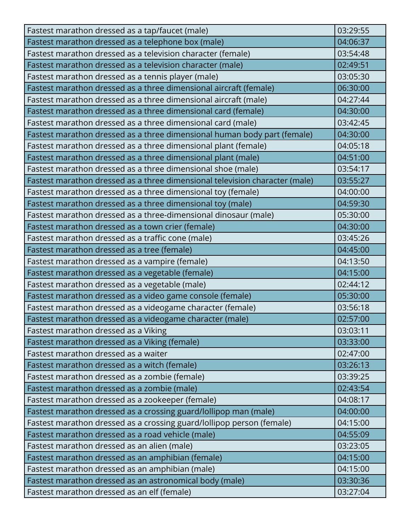| Fastest marathon dressed as a tap/faucet (male)                             | 03:29:55 |
|-----------------------------------------------------------------------------|----------|
| Fastest marathon dressed as a telephone box (male)                          | 04:06:37 |
| Fastest marathon dressed as a television character (female)                 | 03:54:48 |
| Fastest marathon dressed as a television character (male)                   | 02:49:51 |
| Fastest marathon dressed as a tennis player (male)                          | 03:05:30 |
| Fastest marathon dressed as a three dimensional aircraft (female)           | 06:30:00 |
| Fastest marathon dressed as a three dimensional aircraft (male)             | 04:27:44 |
| Fastest marathon dressed as a three dimensional card (female)               | 04:30:00 |
| Fastest marathon dressed as a three dimensional card (male)                 | 03:42:45 |
| Fastest marathon dressed as a three dimensional human body part (female)    | 04:30:00 |
| Fastest marathon dressed as a three dimensional plant (female)              | 04:05:18 |
| Fastest marathon dressed as a three dimensional plant (male)                | 04:51:00 |
| Fastest marathon dressed as a three dimensional shoe (male)                 | 03:54:17 |
| Fastest marathon dressed as a three dimensional television character (male) | 03:55:27 |
| Fastest marathon dressed as a three dimensional toy (female)                | 04:00:00 |
| Fastest marathon dressed as a three dimensional toy (male)                  | 04:59:30 |
| Fastest marathon dressed as a three-dimensional dinosaur (male)             | 05:30:00 |
| Fastest marathon dressed as a town crier (female)                           | 04:30:00 |
| Fastest marathon dressed as a traffic cone (male)                           | 03:45:26 |
| Fastest marathon dressed as a tree (female)                                 | 04:45:00 |
| Fastest marathon dressed as a vampire (female)                              | 04:13:50 |
| Fastest marathon dressed as a vegetable (female)                            | 04:15:00 |
| Fastest marathon dressed as a vegetable (male)                              | 02:44:12 |
| Fastest marathon dressed as a video game console (female)                   | 05:30:00 |
| Fastest marathon dressed as a videogame character (female)                  | 03:56:18 |
| Fastest marathon dressed as a videogame character (male)                    | 02:57:00 |
| Fastest marathon dressed as a Viking                                        | 03:03:11 |
| Fastest marathon dressed as a Viking (female)                               | 03:33:00 |
| Fastest marathon dressed as a waiter                                        | 02:47:00 |
| Fastest marathon dressed as a witch (female)                                | 03:26:13 |
| Fastest marathon dressed as a zombie (female)                               | 03:39:25 |
| Fastest marathon dressed as a zombie (male)                                 | 02:43:54 |
| Fastest marathon dressed as a zookeeper (female)                            | 04:08:17 |
| Fastest marathon dressed as a crossing guard/lollipop man (male)            | 04:00:00 |
| Fastest marathon dressed as a crossing guard/lollipop person (female)       | 04:15:00 |
| Fastest marathon dressed as a road vehicle (male)                           | 04:55:09 |
| Fastest marathon dressed as an alien (male)                                 | 03:23:05 |
| Fastest marathon dressed as an amphibian (female)                           | 04:15:00 |
| Fastest marathon dressed as an amphibian (male)                             | 04:15:00 |
| Fastest marathon dressed as an astronomical body (male)                     | 03:30:36 |
| Fastest marathon dressed as an elf (female)                                 | 03:27:04 |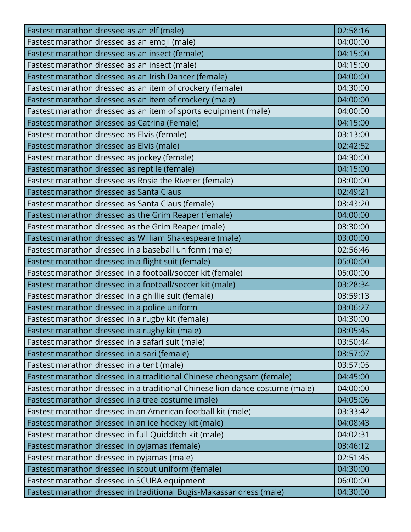| Fastest marathon dressed as an elf (male)                                   | 02:58:16 |
|-----------------------------------------------------------------------------|----------|
| Fastest marathon dressed as an emoji (male)                                 | 04:00:00 |
| Fastest marathon dressed as an insect (female)                              | 04:15:00 |
| Fastest marathon dressed as an insect (male)                                | 04:15:00 |
| Fastest marathon dressed as an Irish Dancer (female)                        | 04:00:00 |
| Fastest marathon dressed as an item of crockery (female)                    | 04:30:00 |
| Fastest marathon dressed as an item of crockery (male)                      | 04:00:00 |
| Fastest marathon dressed as an item of sports equipment (male)              | 04:00:00 |
| Fastest marathon dressed as Catrina (Female)                                | 04:15:00 |
| Fastest marathon dressed as Elvis (female)                                  | 03:13:00 |
| Fastest marathon dressed as Elvis (male)                                    | 02:42:52 |
| Fastest marathon dressed as jockey (female)                                 | 04:30:00 |
| Fastest marathon dressed as reptile (female)                                | 04:15:00 |
| Fastest marathon dressed as Rosie the Riveter (female)                      | 03:00:00 |
| Fastest marathon dressed as Santa Claus                                     | 02:49:21 |
| Fastest marathon dressed as Santa Claus (female)                            | 03:43:20 |
| Fastest marathon dressed as the Grim Reaper (female)                        | 04:00:00 |
| Fastest marathon dressed as the Grim Reaper (male)                          | 03:30:00 |
| Fastest marathon dressed as William Shakespeare (male)                      | 03:00:00 |
| Fastest marathon dressed in a baseball uniform (male)                       | 02:56:46 |
| Fastest marathon dressed in a flight suit (female)                          | 05:00:00 |
| Fastest marathon dressed in a football/soccer kit (female)                  | 05:00:00 |
| Fastest marathon dressed in a football/soccer kit (male)                    | 03:28:34 |
| Fastest marathon dressed in a ghillie suit (female)                         | 03:59:13 |
| Fastest marathon dressed in a police uniform                                | 03:06:27 |
| Fastest marathon dressed in a rugby kit (female)                            | 04:30:00 |
| Fastest marathon dressed in a rugby kit (male)                              | 03:05:45 |
| Fastest marathon dressed in a safari suit (male)                            | 03:50:44 |
| Fastest marathon dressed in a sari (female)                                 | 03:57:07 |
| Fastest marathon dressed in a tent (male)                                   | 03:57:05 |
| Fastest marathon dressed in a traditional Chinese cheongsam (female)        | 04:45:00 |
| Fastest marathon dressed in a traditional Chinese lion dance costume (male) | 04:00:00 |
| Fastest marathon dressed in a tree costume (male)                           | 04:05:06 |
| Fastest marathon dressed in an American football kit (male)                 | 03:33:42 |
| Fastest marathon dressed in an ice hockey kit (male)                        | 04:08:43 |
| Fastest marathon dressed in full Quidditch kit (male)                       | 04:02:31 |
| Fastest marathon dressed in pyjamas (female)                                | 03:46:12 |
| Fastest marathon dressed in pyjamas (male)                                  | 02:51:45 |
| Fastest marathon dressed in scout uniform (female)                          | 04:30:00 |
| Fastest marathon dressed in SCUBA equipment                                 | 06:00:00 |
| Fastest marathon dressed in traditional Bugis-Makassar dress (male)         | 04:30:00 |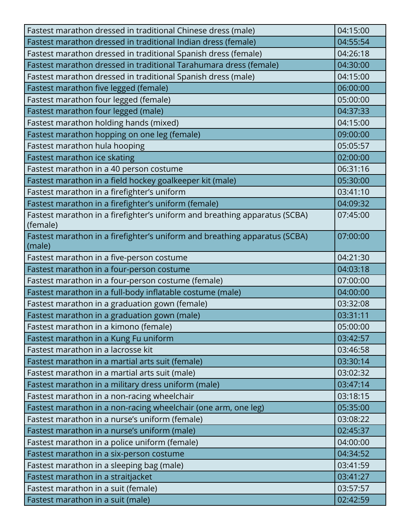| Fastest marathon dressed in traditional Chinese dress (male)               | 04:15:00 |
|----------------------------------------------------------------------------|----------|
| Fastest marathon dressed in traditional Indian dress (female)              | 04:55:54 |
| Fastest marathon dressed in traditional Spanish dress (female)             | 04:26:18 |
| Fastest marathon dressed in traditional Tarahumara dress (female)          | 04:30:00 |
| Fastest marathon dressed in traditional Spanish dress (male)               | 04:15:00 |
| Fastest marathon five legged (female)                                      | 06:00:00 |
| Fastest marathon four legged (female)                                      | 05:00:00 |
| Fastest marathon four legged (male)                                        | 04:37:33 |
| Fastest marathon holding hands (mixed)                                     | 04:15:00 |
| Fastest marathon hopping on one leg (female)                               | 09:00:00 |
| Fastest marathon hula hooping                                              | 05:05:57 |
| Fastest marathon ice skating                                               | 02:00:00 |
| Fastest marathon in a 40 person costume                                    | 06:31:16 |
| Fastest marathon in a field hockey goalkeeper kit (male)                   | 05:30:00 |
| Fastest marathon in a firefighter's uniform                                | 03:41:10 |
| Fastest marathon in a firefighter's uniform (female)                       | 04:09:32 |
| Fastest marathon in a firefighter's uniform and breathing apparatus (SCBA) | 07:45:00 |
| (female)                                                                   |          |
| Fastest marathon in a firefighter's uniform and breathing apparatus (SCBA) | 07:00:00 |
| (male)                                                                     |          |
| Fastest marathon in a five-person costume                                  | 04:21:30 |
| Fastest marathon in a four-person costume                                  | 04:03:18 |
| Fastest marathon in a four-person costume (female)                         | 07:00:00 |
| Fastest marathon in a full-body inflatable costume (male)                  | 04:00:00 |
| Fastest marathon in a graduation gown (female)                             | 03:32:08 |
| Fastest marathon in a graduation gown (male)                               | 03:31:11 |
| Fastest marathon in a kimono (female)                                      | 05:00:00 |
| Fastest marathon in a Kung Fu uniform                                      | 03:42:57 |
| Fastest marathon in a lacrosse kit                                         | 03:46:58 |
| Fastest marathon in a martial arts suit (female)                           | 03:30:14 |
| Fastest marathon in a martial arts suit (male)                             | 03:02:32 |
| Fastest marathon in a military dress uniform (male)                        | 03:47:14 |
| Fastest marathon in a non-racing wheelchair                                | 03:18:15 |
| Fastest marathon in a non-racing wheelchair (one arm, one leg)             | 05:35:00 |
| Fastest marathon in a nurse's uniform (female)                             | 03:08:22 |
| Fastest marathon in a nurse's uniform (male)                               | 02:45:37 |
| Fastest marathon in a police uniform (female)                              | 04:00:00 |
| Fastest marathon in a six-person costume                                   | 04:34:52 |
| Fastest marathon in a sleeping bag (male)                                  | 03:41:59 |
| Fastest marathon in a straitjacket                                         | 03:41:27 |
| Fastest marathon in a suit (female)                                        | 03:57:57 |
| Fastest marathon in a suit (male)                                          | 02:42:59 |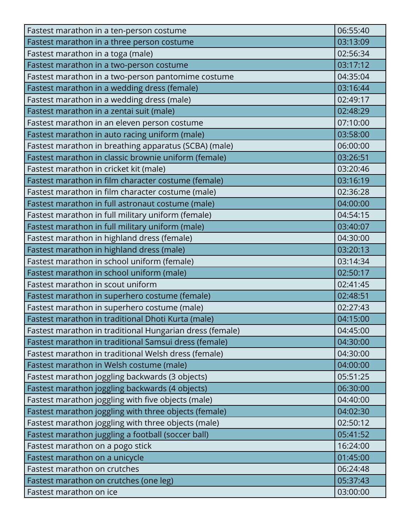| Fastest marathon in a ten-person costume                 | 06:55:40 |
|----------------------------------------------------------|----------|
| Fastest marathon in a three person costume               | 03:13:09 |
| Fastest marathon in a toga (male)                        | 02:56:34 |
| Fastest marathon in a two-person costume                 | 03:17:12 |
| Fastest marathon in a two-person pantomime costume       | 04:35:04 |
| Fastest marathon in a wedding dress (female)             | 03:16:44 |
| Fastest marathon in a wedding dress (male)               | 02:49:17 |
| Fastest marathon in a zentai suit (male)                 | 02:48:29 |
| Fastest marathon in an eleven person costume             | 07:10:00 |
| Fastest marathon in auto racing uniform (male)           | 03:58:00 |
| Fastest marathon in breathing apparatus (SCBA) (male)    | 06:00:00 |
| Fastest marathon in classic brownie uniform (female)     | 03:26:51 |
| Fastest marathon in cricket kit (male)                   | 03:20:46 |
| Fastest marathon in film character costume (female)      | 03:16:19 |
| Fastest marathon in film character costume (male)        | 02:36:28 |
| Fastest marathon in full astronaut costume (male)        | 04:00:00 |
| Fastest marathon in full military uniform (female)       | 04:54:15 |
| Fastest marathon in full military uniform (male)         | 03:40:07 |
| Fastest marathon in highland dress (female)              | 04:30:00 |
| Fastest marathon in highland dress (male)                | 03:20:13 |
| Fastest marathon in school uniform (female)              | 03:14:34 |
| Fastest marathon in school uniform (male)                | 02:50:17 |
| Fastest marathon in scout uniform                        | 02:41:45 |
| Fastest marathon in superhero costume (female)           | 02:48:51 |
| Fastest marathon in superhero costume (male)             | 02:27:43 |
| Fastest marathon in traditional Dhoti Kurta (male)       | 04:15:00 |
| Fastest marathon in traditional Hungarian dress (female) | 04:45:00 |
| Fastest marathon in traditional Samsui dress (female)    | 04:30:00 |
| Fastest marathon in traditional Welsh dress (female)     | 04:30:00 |
| Fastest marathon in Welsh costume (male)                 | 04:00:00 |
| Fastest marathon joggling backwards (3 objects)          | 05:51:25 |
| Fastest marathon joggling backwards (4 objects)          | 06:30:00 |
| Fastest marathon joggling with five objects (male)       | 04:40:00 |
| Fastest marathon joggling with three objects (female)    | 04:02:30 |
| Fastest marathon joggling with three objects (male)      | 02:50:12 |
| Fastest marathon juggling a football (soccer ball)       | 05:41:52 |
| Fastest marathon on a pogo stick                         | 16:24:00 |
| Fastest marathon on a unicycle                           | 01:45:00 |
| Fastest marathon on crutches                             | 06:24:48 |
| Fastest marathon on crutches (one leg)                   | 05:37:43 |
| Fastest marathon on ice                                  | 03:00:00 |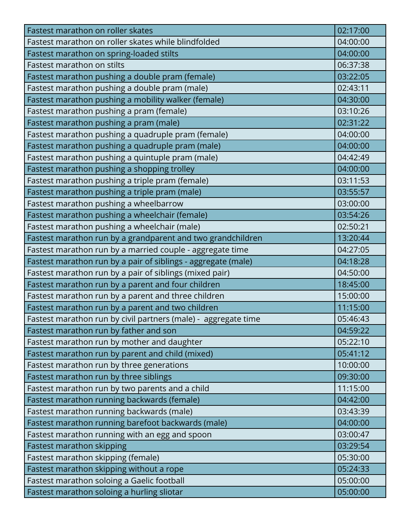| Fastest marathon on roller skates                              | 02:17:00 |
|----------------------------------------------------------------|----------|
| Fastest marathon on roller skates while blindfolded            | 04:00:00 |
| Fastest marathon on spring-loaded stilts                       | 04:00:00 |
| Fastest marathon on stilts                                     | 06:37:38 |
| Fastest marathon pushing a double pram (female)                | 03:22:05 |
| Fastest marathon pushing a double pram (male)                  | 02:43:11 |
| Fastest marathon pushing a mobility walker (female)            | 04:30:00 |
| Fastest marathon pushing a pram (female)                       | 03:10:26 |
| Fastest marathon pushing a pram (male)                         | 02:31:22 |
| Fastest marathon pushing a quadruple pram (female)             | 04:00:00 |
| Fastest marathon pushing a quadruple pram (male)               | 04:00:00 |
| Fastest marathon pushing a quintuple pram (male)               | 04:42:49 |
| Fastest marathon pushing a shopping trolley                    | 04:00:00 |
| Fastest marathon pushing a triple pram (female)                | 03:11:53 |
| Fastest marathon pushing a triple pram (male)                  | 03:55:57 |
| Fastest marathon pushing a wheelbarrow                         | 03:00:00 |
| Fastest marathon pushing a wheelchair (female)                 | 03:54:26 |
| Fastest marathon pushing a wheelchair (male)                   | 02:50:21 |
| Fastest marathon run by a grandparent and two grandchildren    | 13:20:44 |
| Fastest marathon run by a married couple - aggregate time      | 04:27:05 |
| Fastest marathon run by a pair of siblings - aggregate (male)  | 04:18:28 |
| Fastest marathon run by a pair of siblings (mixed pair)        | 04:50:00 |
| Fastest marathon run by a parent and four children             | 18:45:00 |
| Fastest marathon run by a parent and three children            | 15:00:00 |
| Fastest marathon run by a parent and two children              | 11:15:00 |
| Fastest marathon run by civil partners (male) - aggregate time | 05:46:43 |
| Fastest marathon run by father and son                         | 04:59:22 |
| Fastest marathon run by mother and daughter                    | 05:22:10 |
| Fastest marathon run by parent and child (mixed)               | 05:41:12 |
| Fastest marathon run by three generations                      | 10:00:00 |
| Fastest marathon run by three siblings                         | 09:30:00 |
| Fastest marathon run by two parents and a child                | 11:15:00 |
| Fastest marathon running backwards (female)                    | 04:42:00 |
| Fastest marathon running backwards (male)                      | 03:43:39 |
| Fastest marathon running barefoot backwards (male)             | 04:00:00 |
| Fastest marathon running with an egg and spoon                 | 03:00:47 |
| Fastest marathon skipping                                      | 03:29:54 |
| Fastest marathon skipping (female)                             | 05:30:00 |
| Fastest marathon skipping without a rope                       | 05:24:33 |
| Fastest marathon soloing a Gaelic football                     | 05:00:00 |
| Fastest marathon soloing a hurling sliotar                     | 05:00:00 |